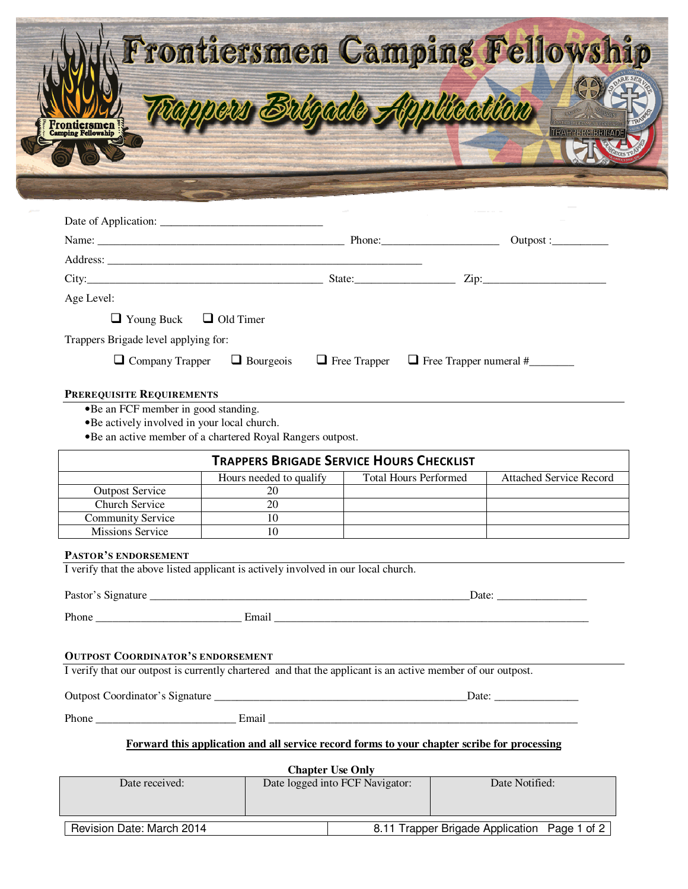| mping Fellowship     | Frontiersmen Camping Fellowship<br>Tappers Brigade Application |           |  |
|----------------------|----------------------------------------------------------------|-----------|--|
| Date of Application: |                                                                |           |  |
| Name:                | Phone:                                                         | Outpost : |  |
| Address:             |                                                                |           |  |
| City:                | State:                                                         | Zip:      |  |

Age Level:

 $\Box$  Young Buck  $\Box$  Old Timer

Trappers Brigade level applying for:

 $\Box$  Company Trapper  $\Box$  Bourgeois  $\Box$  Free Trapper  $\Box$  Free Trapper numeral #\_\_\_\_\_\_\_\_

## **PREREQUISITE REQUIREMENTS**

•Be an FCF member in good standing.

•Be actively involved in your local church.

•Be an active member of a chartered Royal Rangers outpost.

| <b>TRAPPERS BRIGADE SERVICE HOURS CHECKLIST</b> |                         |                              |                         |  |
|-------------------------------------------------|-------------------------|------------------------------|-------------------------|--|
|                                                 | Hours needed to qualify | <b>Total Hours Performed</b> | Attached Service Record |  |
| <b>Outpost Service</b>                          | 20                      |                              |                         |  |
| Church Service                                  | 20                      |                              |                         |  |
| <b>Community Service</b>                        |                         |                              |                         |  |
| Missions Service                                |                         |                              |                         |  |

## **PASTOR'S ENDORSEMENT**

I verify that the above listed applicant is actively involved in our local church.

Pastor's Signature \_\_\_\_\_\_\_\_\_\_\_\_\_\_\_\_\_\_\_\_\_\_\_\_\_\_\_\_\_\_\_\_\_\_\_\_\_\_\_\_\_\_\_\_\_\_\_\_\_\_\_\_\_\_\_\_\_Date: \_\_\_\_\_\_\_\_\_\_\_\_\_\_\_\_

Phone \_\_\_\_\_\_\_\_\_\_\_\_\_\_\_\_\_\_\_\_\_\_\_\_\_\_ Email \_\_\_\_\_\_\_\_\_\_\_\_\_\_\_\_\_\_\_\_\_\_\_\_\_\_\_\_\_\_\_\_\_\_\_\_\_\_\_\_\_\_\_\_\_\_\_\_\_\_\_\_\_\_\_\_

## **OUTPOST COORDINATOR'S ENDORSEMENT**

I verify that our outpost is currently chartered and that the applicant is an active member of our outpost.

Outpost Coordinator's Signature \_\_\_\_\_\_\_\_\_\_\_\_\_\_\_\_\_\_\_\_\_\_\_\_\_\_\_\_\_\_\_\_\_\_\_\_\_\_\_\_\_\_\_\_\_Date: \_\_\_\_\_\_\_\_\_\_\_\_\_\_\_

Phone \_\_\_\_\_\_\_\_\_\_\_\_\_\_\_\_\_\_\_\_\_\_\_\_\_ Email \_\_\_\_\_\_\_\_\_\_\_\_\_\_\_\_\_\_\_\_\_\_\_\_\_\_\_\_\_\_\_\_\_\_\_\_\_\_\_\_\_\_\_\_\_\_\_\_\_\_\_\_\_\_\_

## **Forward this application and all service record forms to your chapter scribe for processing**

| <b>Chapter Use Only</b>   |                                 |                                              |  |  |
|---------------------------|---------------------------------|----------------------------------------------|--|--|
| Date received:            | Date logged into FCF Navigator: | Date Notified:                               |  |  |
|                           |                                 |                                              |  |  |
|                           |                                 |                                              |  |  |
| Revision Date: March 2014 |                                 | 8.11 Trapper Brigade Application Page 1 of 2 |  |  |